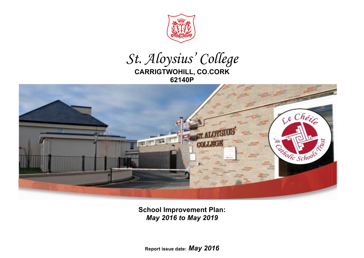

## *St. Aloysius' College* **CARRIGTWOHILL, CO.CORK 62140P**



**School Improvement Plan:**  *May 2016 to May 2019*

**Report issue date:** *May 2016*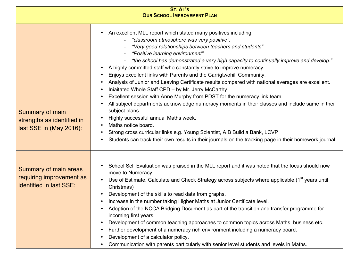| <b>ST. AL'S</b><br><b>OUR SCHOOL IMPROVEMENT PLAN</b>                               |                                                                                                                                                                                                                                                                                                                                                                                                                                                                                                                                                                                                                                                                                                                                                                                                                                                                                                                                                                                                                                                                         |  |  |  |  |
|-------------------------------------------------------------------------------------|-------------------------------------------------------------------------------------------------------------------------------------------------------------------------------------------------------------------------------------------------------------------------------------------------------------------------------------------------------------------------------------------------------------------------------------------------------------------------------------------------------------------------------------------------------------------------------------------------------------------------------------------------------------------------------------------------------------------------------------------------------------------------------------------------------------------------------------------------------------------------------------------------------------------------------------------------------------------------------------------------------------------------------------------------------------------------|--|--|--|--|
| Summary of main<br>strengths as identified in<br>last SSE in (May 2016):            | An excellent MLL report which stated many positives including:<br>- "classroom atmosphere was very positive".<br>"Very good relationships between teachers and students"<br>"Positive learning environment"<br>"the school has demonstrated a very high capacity to continually improve and develop."<br>A highly committed staff who constantly strive to improve numeracy.<br>Enjoys excellent links with Parents and the Carrigtwohill Community.<br>Analysis of Junior and Leaving Certificate results compared with national averages are excellent.<br>Iniaitated Whole Staff CPD - by Mr. Jerry McCarthy<br>Excellent session with Anne Murphy from PDST for the numeracy link team.<br>All subject departments acknowledge numeracy moments in their classes and include same in their<br>subject plans.<br>Highly successful annual Maths week.<br>Maths notice board.<br>Strong cross curricular links e.g. Young Scientist, AIB Build a Bank, LCVP<br>Students can track their own results in their journals on the tracking page in their homework journal. |  |  |  |  |
| <b>Summary of main areas</b><br>requiring improvement as<br>identified in last SSE: | School Self Evaluation was praised in the MLL report and it was noted that the focus should now<br>move to Numeracy<br>Use of Estimate, Calculate and Check Strategy across subjects where applicable. (1 <sup>st</sup> years until<br>Christmas)<br>Development of the skills to read data from graphs.<br>Increase in the number taking Higher Maths at Junior Certificate level.<br>Adoption of the NCCA Bridging Document as part of the transition and transfer programme for<br>incoming first years.<br>Development of common teaching approaches to common topics across Maths, business etc.<br>Further development of a numeracy rich environment including a numeracy board.<br>Development of a calculator policy.<br>Communication with parents particularly with senior level students and levels in Maths.                                                                                                                                                                                                                                               |  |  |  |  |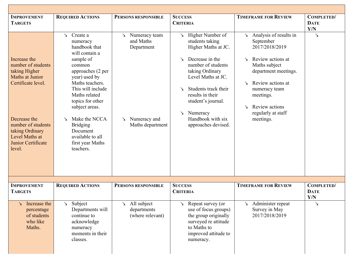| <b>IMPROVEMENT</b><br><b>TARGETS</b>                                                                                                                                                                    | <b>REQUIRED ACTIONS</b>                                                                                                                                                                                                                                                                                                                     | PERSONS RESPONSIBLE                                                                                 | <b>SUCCESS</b><br><b>CRITERIA</b>                                                                                                                                                                                                                                                                       | <b>TIMEFRAME FOR REVIEW</b>                                                                                                                                                                                                                                             | <b>COMPLETED/</b><br><b>DATE</b><br>Y/N |
|---------------------------------------------------------------------------------------------------------------------------------------------------------------------------------------------------------|---------------------------------------------------------------------------------------------------------------------------------------------------------------------------------------------------------------------------------------------------------------------------------------------------------------------------------------------|-----------------------------------------------------------------------------------------------------|---------------------------------------------------------------------------------------------------------------------------------------------------------------------------------------------------------------------------------------------------------------------------------------------------------|-------------------------------------------------------------------------------------------------------------------------------------------------------------------------------------------------------------------------------------------------------------------------|-----------------------------------------|
| Increase the<br>number of students<br>taking Higher<br>Maths at Junior<br>Certificate level.<br>Decrease the<br>number of students<br>taking Ordinary<br>Level Maths at<br>Junior Certificate<br>level. | $\angle$ Create a<br>numeracy<br>handbook that<br>will contain a<br>sample of<br>common<br>approaches (2 per<br>year) used by<br>Maths teachers.<br>This will include<br>Maths related<br>topics for other<br>subject areas.<br>Make the NCCA<br>$\sum$<br><b>Bridging</b><br>Document<br>available to all<br>first year Maths<br>teachers. | $\geq$ Numeracy team<br>and Maths<br>Department<br>Numeracy and<br>$\mathbf{r}$<br>Maths department | $\angle$ Higher Number of<br>students taking<br>Higher Maths at JC.<br>Decrease in the<br>$\searrow$<br>number of students<br>taking Ordinary<br>Level Maths at JC.<br>Students track their<br>↘<br>results in their<br>student's journal.<br>Numeracy<br>↘<br>Handbook with six<br>approaches devised. | $\angle$ Analysis of results in<br>September<br>2017/2018/2019<br>Review actions at<br>$\sum_{i=1}^{n}$<br>Maths subject<br>department meetings.<br>Review actions at<br>↘<br>numeracy team<br>meetings.<br>Review actions<br>$\sum$<br>regularly at staff<br>meetings. | $\mathbf{\underline{\checkmark}}$       |
|                                                                                                                                                                                                         |                                                                                                                                                                                                                                                                                                                                             |                                                                                                     |                                                                                                                                                                                                                                                                                                         |                                                                                                                                                                                                                                                                         |                                         |
| <b>IMPROVEMENT</b><br><b>TARGETS</b>                                                                                                                                                                    | <b>REQUIRED ACTIONS</b>                                                                                                                                                                                                                                                                                                                     | PERSONS RESPONSIBLE                                                                                 | <b>SUCCESS</b><br><b>CRITERIA</b>                                                                                                                                                                                                                                                                       | <b>TIMEFRAME FOR REVIEW</b>                                                                                                                                                                                                                                             | <b>COMPLETED/</b><br><b>DATE</b><br>Y/N |
| Increase the<br>↘<br>percentage<br>of students<br>who like<br>Maths.                                                                                                                                    | Subject<br>$\sum$<br>Departments will<br>continue to<br>acknowledge<br>numeracy<br>moments in their<br>classes.                                                                                                                                                                                                                             | All subject<br>↘<br>departments<br>(where relevant)                                                 | Repeat survey (or<br>↘<br>use of focus groups)<br>the group originally<br>surveyed re attitude<br>to Maths to<br>improved attitude to<br>numeracy.                                                                                                                                                      | $\triangle$ Administer repeat<br>Survey in May<br>2017/2018/2019                                                                                                                                                                                                        | ↘                                       |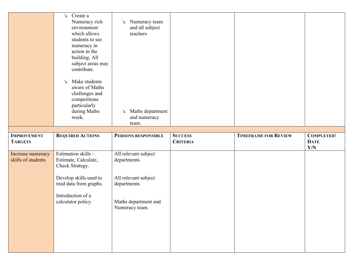|                    | Create a<br>$\mathbf{v}$<br>Numeracy rich<br>environment<br>which allows<br>students to see<br>numeracy in<br>action in the<br>building. All<br>subject areas may<br>contribute.<br>Make students<br>↘<br>aware of Maths<br>challenges and<br>competitions<br>particularly<br>during Maths<br>week. | Numeracy team<br>$\sum$<br>and all subject<br>teachers<br>Maths department<br>↘<br>and numeracy<br>team. |                 |                             |                    |
|--------------------|-----------------------------------------------------------------------------------------------------------------------------------------------------------------------------------------------------------------------------------------------------------------------------------------------------|----------------------------------------------------------------------------------------------------------|-----------------|-----------------------------|--------------------|
| <b>IMPROVEMENT</b> | <b>REQUIRED ACTIONS</b>                                                                                                                                                                                                                                                                             | PERSONS RESPONSIBLE                                                                                      | <b>SUCCESS</b>  | <b>TIMEFRAME FOR REVIEW</b> | <b>COMPLETED/</b>  |
|                    |                                                                                                                                                                                                                                                                                                     |                                                                                                          |                 |                             |                    |
| <b>TARGETS</b>     |                                                                                                                                                                                                                                                                                                     |                                                                                                          | <b>CRITERIA</b> |                             | <b>DATE</b><br>Y/N |